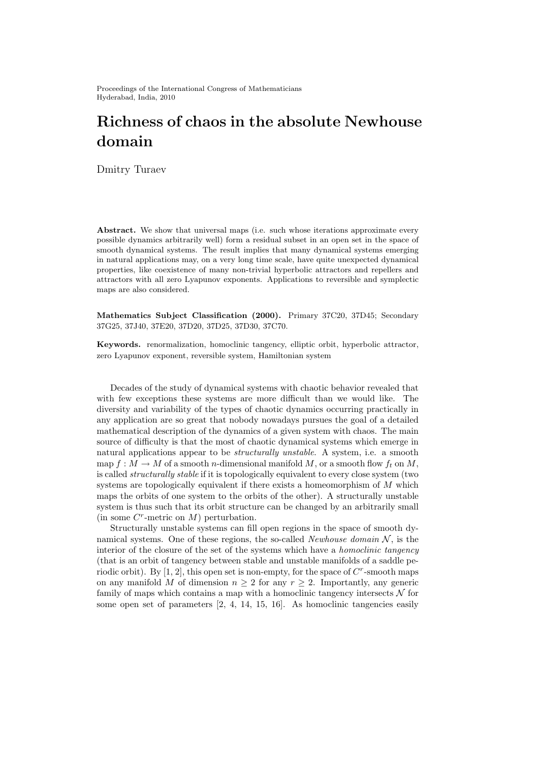Proceedings of the International Congress of Mathematicians Hyderabad, India, 2010

## Richness of chaos in the absolute Newhouse domain

Dmitry Turaev

Abstract. We show that universal maps (i.e. such whose iterations approximate every possible dynamics arbitrarily well) form a residual subset in an open set in the space of smooth dynamical systems. The result implies that many dynamical systems emerging in natural applications may, on a very long time scale, have quite unexpected dynamical properties, like coexistence of many non-trivial hyperbolic attractors and repellers and attractors with all zero Lyapunov exponents. Applications to reversible and symplectic maps are also considered.

Mathematics Subject Classification (2000). Primary 37C20, 37D45; Secondary 37G25, 37J40, 37E20, 37D20, 37D25, 37D30, 37C70.

Keywords. renormalization, homoclinic tangency, elliptic orbit, hyperbolic attractor, zero Lyapunov exponent, reversible system, Hamiltonian system

Decades of the study of dynamical systems with chaotic behavior revealed that with few exceptions these systems are more difficult than we would like. The diversity and variability of the types of chaotic dynamics occurring practically in any application are so great that nobody nowadays pursues the goal of a detailed mathematical description of the dynamics of a given system with chaos. The main source of difficulty is that the most of chaotic dynamical systems which emerge in natural applications appear to be *structurally unstable*. A system, i.e. a smooth map  $f: M \to M$  of a smooth *n*-dimensional manifold M, or a smooth flow  $f_t$  on M, is called *structurally stable* if it is topologically equivalent to every close system (two systems are topologically equivalent if there exists a homeomorphism of  $M$  which maps the orbits of one system to the orbits of the other). A structurally unstable system is thus such that its orbit structure can be changed by an arbitrarily small (in some  $C^r$ -metric on  $M$ ) perturbation.

Structurally unstable systems can fill open regions in the space of smooth dynamical systems. One of these regions, the so-called Newhouse domain  $N$ , is the interior of the closure of the set of the systems which have a *homoclinic tangency* (that is an orbit of tangency between stable and unstable manifolds of a saddle periodic orbit). By  $[1, 2]$ , this open set is non-empty, for the space of  $C<sup>r</sup>$ -smooth maps on any manifold M of dimension  $n \geq 2$  for any  $r \geq 2$ . Importantly, any generic family of maps which contains a map with a homoclinic tangency intersects  $\mathcal N$  for some open set of parameters  $[2, 4, 14, 15, 16]$ . As homoclinic tangencies easily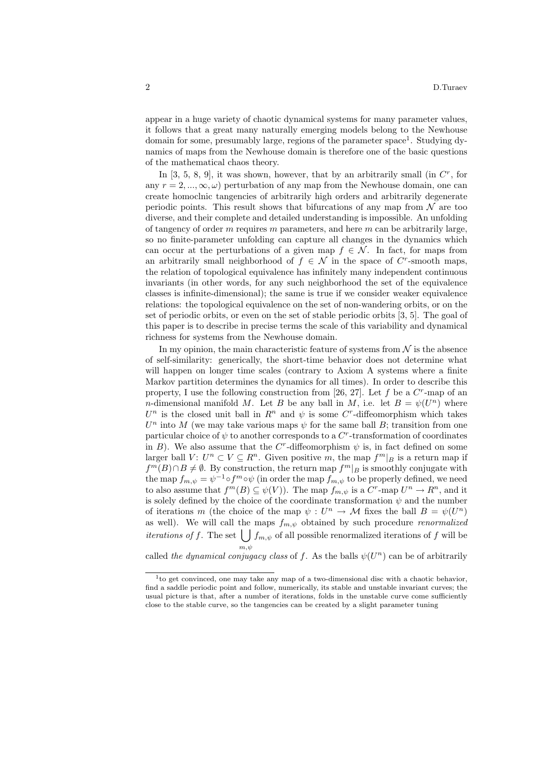appear in a huge variety of chaotic dynamical systems for many parameter values, it follows that a great many naturally emerging models belong to the Newhouse domain for some, presumably large, regions of the parameter space<sup>1</sup>. Studying dynamics of maps from the Newhouse domain is therefore one of the basic questions of the mathematical chaos theory.

In  $[3, 5, 8, 9]$ , it was shown, however, that by an arbitrarily small (in  $C<sup>r</sup>$ , for any  $r = 2, ..., \infty, \omega$  perturbation of any map from the Newhouse domain, one can create homoclnic tangencies of arbitrarily high orders and arbitrarily degenerate periodic points. This result shows that bifurcations of any map from  $\mathcal N$  are too diverse, and their complete and detailed understanding is impossible. An unfolding of tangency of order  $m$  requires  $m$  parameters, and here  $m$  can be arbitrarily large, so no finite-parameter unfolding can capture all changes in the dynamics which can occur at the perturbations of a given map  $f \in \mathcal{N}$ . In fact, for maps from an arbitrarily small neighborhood of  $f \in \mathcal{N}$  in the space of C<sup>r</sup>-smooth maps, the relation of topological equivalence has infinitely many independent continuous invariants (in other words, for any such neighborhood the set of the equivalence classes is infinite-dimensional); the same is true if we consider weaker equivalence relations: the topological equivalence on the set of non-wandering orbits, or on the set of periodic orbits, or even on the set of stable periodic orbits [3, 5]. The goal of this paper is to describe in precise terms the scale of this variability and dynamical richness for systems from the Newhouse domain.

In my opinion, the main characteristic feature of systems from  $\mathcal N$  is the absence of self-similarity: generically, the short-time behavior does not determine what will happen on longer time scales (contrary to Axiom A systems where a finite Markov partition determines the dynamics for all times). In order to describe this property, I use the following construction from [26, 27]. Let f be a  $C<sup>r</sup>$ -map of an *n*-dimensional manifold M. Let B be any ball in M, i.e. let  $B = \psi(U^n)$  where  $U<sup>n</sup>$  is the closed unit ball in  $R<sup>n</sup>$  and  $\psi$  is some C<sup>r</sup>-diffeomorphism which takes  $U<sup>n</sup>$  into M (we may take various maps  $\psi$  for the same ball B; transition from one particular choice of  $\psi$  to another corresponds to a  $C<sup>r</sup>$ -transformation of coordinates in B). We also assume that the C<sup>r</sup>-diffeomorphism  $\psi$  is, in fact defined on some larger ball  $V: U^n \subset V \subseteq R^n$ . Given positive m, the map  $f^m|_B$  is a return map if  $f^{m}(B) \cap B \neq \emptyset$ . By construction, the return map  $f^{m}|_{B}$  is smoothly conjugate with the map  $f_{m,\psi} = \psi^{-1} \circ f^{m} \circ \psi$  (in order the map  $f_{m,\psi}$  to be properly defined, we need to also assume that  $f^m(B) \subseteq \psi(V)$ ). The map  $f_{m,\psi}$  is a  $C^r$ -map  $U^n \to \mathbb{R}^n$ , and it is solely defined by the choice of the coordinate transformation  $\psi$  and the number of iterations m (the choice of the map  $\psi: U^n \to M$  fixes the ball  $B = \psi(U^n)$ as well). We will call the maps  $f_{m,\psi}$  obtained by such procedure *renormalized iterations of f*. The set  $\bigcup f_{m,\psi}$  of all possible renormalized iterations of f will be  $m, \psi$ 

called the dynamical conjugacy class of f. As the balls  $\psi(U^n)$  can be of arbitrarily

<sup>&</sup>lt;sup>1</sup> to get convinced, one may take any map of a two-dimensional disc with a chaotic behavior, find a saddle periodic point and follow, numerically, its stable and unstable invariant curves; the usual picture is that, after a number of iterations, folds in the unstable curve come sufficiently close to the stable curve, so the tangencies can be created by a slight parameter tuning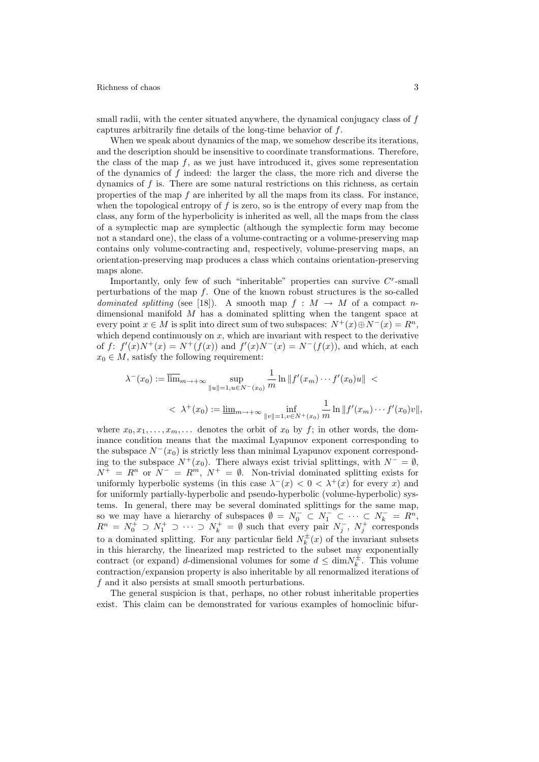Richness of chaos 3

small radii, with the center situated anywhere, the dynamical conjugacy class of f captures arbitrarily fine details of the long-time behavior of f.

When we speak about dynamics of the map, we somehow describe its iterations, and the description should be insensitive to coordinate transformations. Therefore, the class of the map  $f$ , as we just have introduced it, gives some representation of the dynamics of f indeed: the larger the class, the more rich and diverse the dynamics of f is. There are some natural restrictions on this richness, as certain properties of the map  $f$  are inherited by all the maps from its class. For instance, when the topological entropy of  $f$  is zero, so is the entropy of every map from the class, any form of the hyperbolicity is inherited as well, all the maps from the class of a symplectic map are symplectic (although the symplectic form may become not a standard one), the class of a volume-contracting or a volume-preserving map contains only volume-contracting and, respectively, volume-preserving maps, an orientation-preserving map produces a class which contains orientation-preserving maps alone.

Importantly, only few of such "inheritable" properties can survive  $C<sup>r</sup>$ -small perturbations of the map  $f$ . One of the known robust structures is the so-called dominated splitting (see [18]). A smooth map  $f : M \to M$  of a compact ndimensional manifold  $M$  has a dominated splitting when the tangent space at every point  $x \in M$  is split into direct sum of two subspaces:  $N^+(x) \oplus N^-(x) = R^n$ . which depend continuously on  $x$ , which are invariant with respect to the derivative of f:  $f'(x)N^+(x) = N^+(f(x))$  and  $f'(x)N^-(x) = N^-(f(x))$ , and which, at each  $x_0 \in M$ , satisfy the following requirement:

$$
\lambda^{-}(x_0) := \overline{\lim}_{m \to +\infty} \sup_{\|u\| = 1, u \in N^{-}(x_0)} \frac{1}{m} \ln \|f'(x_m) \cdots f'(x_0)u\| \n< \lambda^{+}(x_0) := \underline{\lim}_{m \to +\infty} \inf_{\|v\| = 1, v \in N^{+}(x_0)} \frac{1}{m} \ln \|f'(x_m) \cdots f'(x_0)v\|,
$$

where  $x_0, x_1, \ldots, x_m, \ldots$  denotes the orbit of  $x_0$  by f; in other words, the dominance condition means that the maximal Lyapunov exponent corresponding to the subspace  $N^{-}(x_0)$  is strictly less than minimal Lyapunov exponent corresponding to the subspace  $N^+(x_0)$ . There always exist trivial splittings, with  $N^- = \emptyset$ ,  $N^{+} = R^{n}$  or  $N^{-} = R^{m}$ ,  $N^{+} = \emptyset$ . Non-trivial dominated splitting exists for uniformly hyperbolic systems (in this case  $\lambda^{-1}(x) < 0 < \lambda^{+1}(x)$  for every x) and for uniformly partially-hyperbolic and pseudo-hyperbolic (volume-hyperbolic) systems. In general, there may be several dominated splittings for the same map, so we may have a hierarchy of subspaces  $\emptyset = N_0^- \subset N_1^- \subset \cdots \subset N_k^- = R^n$ ,  $R^n = N_0^+ \supset N_1^+ \supset \cdots \supset N_k^+ = \emptyset$  such that every pair  $N_j^-$ ,  $N_j^+$  corresponds to a dominated splitting. For any particular field  $N_k^{\pm}(x)$  of the invariant subsets in this hierarchy, the linearized map restricted to the subset may exponentially contract (or expand) d-dimensional volumes for some  $d \leq \dim N_k^{\pm}$ . This volume contraction/expansion property is also inheritable by all renormalized iterations of f and it also persists at small smooth perturbations.

The general suspicion is that, perhaps, no other robust inheritable properties exist. This claim can be demonstrated for various examples of homoclinic bifur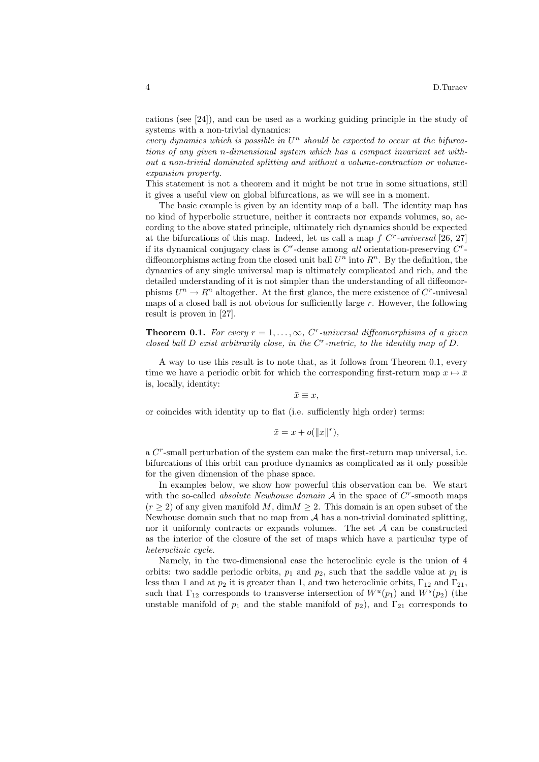cations (see [24]), and can be used as a working guiding principle in the study of systems with a non-trivial dynamics:

every dynamics which is possible in  $U<sup>n</sup>$  should be expected to occur at the bifurcations of any given n-dimensional system which has a compact invariant set without a non-trivial dominated splitting and without a volume-contraction or volumeexpansion property.

This statement is not a theorem and it might be not true in some situations, still it gives a useful view on global bifurcations, as we will see in a moment.

The basic example is given by an identity map of a ball. The identity map has no kind of hyperbolic structure, neither it contracts nor expands volumes, so, according to the above stated principle, ultimately rich dynamics should be expected at the bifurcations of this map. Indeed, let us call a map  $f$   $C<sup>r</sup>$ -universal [26, 27] if its dynamical conjugacy class is  $C<sup>r</sup>$ -dense among all orientation-preserving  $C<sup>r</sup>$ diffeomorphisms acting from the closed unit ball  $U<sup>n</sup>$  into  $R<sup>n</sup>$ . By the definition, the dynamics of any single universal map is ultimately complicated and rich, and the detailed understanding of it is not simpler than the understanding of all diffeomorphisms  $U^n \to R^n$  altogether. At the first glance, the mere existence of  $C^r$ -univesal maps of a closed ball is not obvious for sufficiently large  $r$ . However, the following result is proven in [27].

**Theorem 0.1.** For every  $r = 1, ..., \infty$ , C<sup>r</sup>-universal diffeomorphisms of a given closed ball  $D$  exist arbitrarily close, in the  $C<sup>r</sup>$ -metric, to the identity map of  $D$ .

A way to use this result is to note that, as it follows from Theorem 0.1, every time we have a periodic orbit for which the corresponding first-return map  $x \mapsto \bar{x}$ is, locally, identity:

 $\bar{x} \equiv x$ ,

or coincides with identity up to flat (i.e. sufficiently high order) terms:

$$
\bar{x} = x + o(||x||^r),
$$

a C<sup>r</sup>-small perturbation of the system can make the first-return map universal, i.e. bifurcations of this orbit can produce dynamics as complicated as it only possible for the given dimension of the phase space.

In examples below, we show how powerful this observation can be. We start with the so-called *absolute Newhouse domain*  $A$  in the space of  $C<sup>r</sup>$ -smooth maps  $(r \geq 2)$  of any given manifold M,  $\dim M \geq 2$ . This domain is an open subset of the Newhouse domain such that no map from  $A$  has a non-trivial dominated splitting, nor it uniformly contracts or expands volumes. The set  $A$  can be constructed as the interior of the closure of the set of maps which have a particular type of heteroclinic cycle.

Namely, in the two-dimensional case the heteroclinic cycle is the union of 4 orbits: two saddle periodic orbits,  $p_1$  and  $p_2$ , such that the saddle value at  $p_1$  is less than 1 and at  $p_2$  it is greater than 1, and two heteroclinic orbits,  $\Gamma_{12}$  and  $\Gamma_{21}$ , such that  $\Gamma_{12}$  corresponds to transverse intersection of  $W^u(p_1)$  and  $W^s(p_2)$  (the unstable manifold of  $p_1$  and the stable manifold of  $p_2$ ), and  $\Gamma_{21}$  corresponds to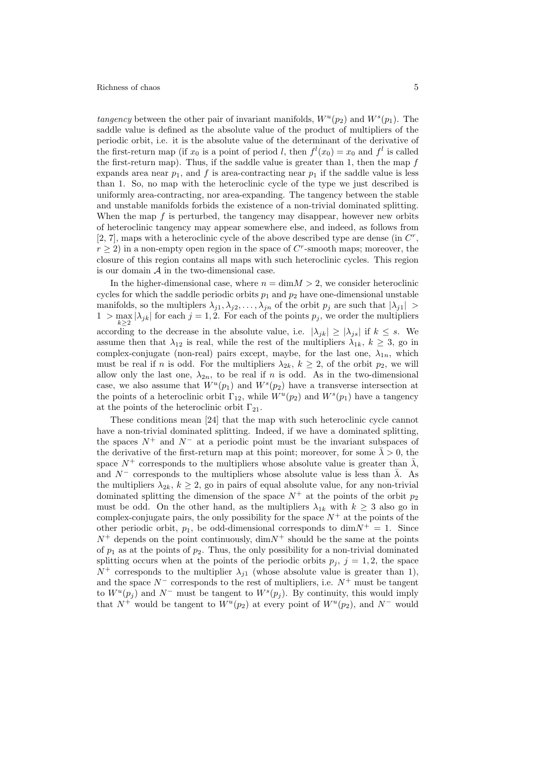tangency between the other pair of invariant manifolds,  $W^u(p_2)$  and  $W^s(p_1)$ . The saddle value is defined as the absolute value of the product of multipliers of the periodic orbit, i.e. it is the absolute value of the determinant of the derivative of the first-return map (if  $x_0$  is a point of period l, then  $f^l(x_0) = x_0$  and  $f^l$  is called the first-return map). Thus, if the saddle value is greater than  $1$ , then the map  $f$ expands area near  $p_1$ , and f is area-contracting near  $p_1$  if the saddle value is less than 1. So, no map with the heteroclinic cycle of the type we just described is uniformly area-contracting, nor area-expanding. The tangency between the stable and unstable manifolds forbids the existence of a non-trivial dominated splitting. When the map  $f$  is perturbed, the tangency may disappear, however new orbits of heteroclinic tangency may appear somewhere else, and indeed, as follows from [2, 7], maps with a heteroclinic cycle of the above described type are dense (in  $C^r$ ,  $r \geq 2$ ) in a non-empty open region in the space of  $C<sup>r</sup>$ -smooth maps; moreover, the closure of this region contains all maps with such heteroclinic cycles. This region is our domain  $A$  in the two-dimensional case.

In the higher-dimensional case, where  $n = \dim M > 2$ , we consider heteroclinic cycles for which the saddle periodic orbits  $p_1$  and  $p_2$  have one-dimensional unstable manifolds, so the multiplers  $\lambda_{j1}, \lambda_{j2}, \ldots, \lambda_{jn}$  of the orbit  $p_j$  are such that  $|\lambda_{j1}| >$  $1 > \max_{k \geq 2} |\lambda_{jk}|$  for each  $j = 1, 2$ . For each of the points  $p_j$ , we order the multipliers according to the decrease in the absolute value, i.e.  $|\lambda_{jk}| \geq |\lambda_{js}|$  if  $k \leq s$ . We assume then that  $\lambda_{12}$  is real, while the rest of the multipliers  $\lambda_{1k}$ ,  $k \geq 3$ , go in complex-conjugate (non-real) pairs except, maybe, for the last one,  $\lambda_{1n}$ , which must be real if n is odd. For the multipliers  $\lambda_{2k}$ ,  $k \geq 2$ , of the orbit  $p_2$ , we will allow only the last one,  $\lambda_{2n}$ , to be real if n is odd. As in the two-dimensional case, we also assume that  $W^u(p_1)$  and  $W^s(p_2)$  have a transverse intersection at the points of a heteroclinic orbit  $\Gamma_{12}$ , while  $W^u(p_2)$  and  $W^s(p_1)$  have a tangency at the points of the heteroclinic orbit  $\Gamma_{21}$ .

These conditions mean [24] that the map with such heteroclinic cycle cannot have a non-trivial dominated splitting. Indeed, if we have a dominated splitting, the spaces  $N^+$  and  $N^-$  at a periodic point must be the invariant subspaces of the derivative of the first-return map at this point; moreover, for some  $\bar{\lambda} > 0$ , the space  $N^+$  corresponds to the multipliers whose absolute value is greater than  $\bar{\lambda}$ , and  $N^-$  corresponds to the multipliers whose absolute value is less than  $\bar{\lambda}$ . As the multipliers  $\lambda_{2k}$ ,  $k \geq 2$ , go in pairs of equal absolute value, for any non-trivial dominated splitting the dimension of the space  $N^+$  at the points of the orbit  $p_2$ must be odd. On the other hand, as the multipliers  $\lambda_{1k}$  with  $k \geq 3$  also go in complex-conjugate pairs, the only possibility for the space  $N^+$  at the points of the other periodic orbit,  $p_1$ , be odd-dimensional corresponds to  $\dim N^+ = 1$ . Since  $N^+$  depends on the point continuously,  $\dim N^+$  should be the same at the points of  $p_1$  as at the points of  $p_2$ . Thus, the only possibility for a non-trivial dominated splitting occurs when at the points of the periodic orbits  $p_j$ ,  $j = 1, 2$ , the space  $N^+$  corresponds to the multiplier  $\lambda_{i1}$  (whose absolute value is greater than 1), and the space  $N^-$  corresponds to the rest of multipliers, i.e.  $N^+$  must be tangent to  $W^u(p_j)$  and  $N^-$  must be tangent to  $W^s(p_j)$ . By continuity, this would imply that  $N^+$  would be tangent to  $W^u(p_2)$  at every point of  $W^u(p_2)$ , and  $N^-$  would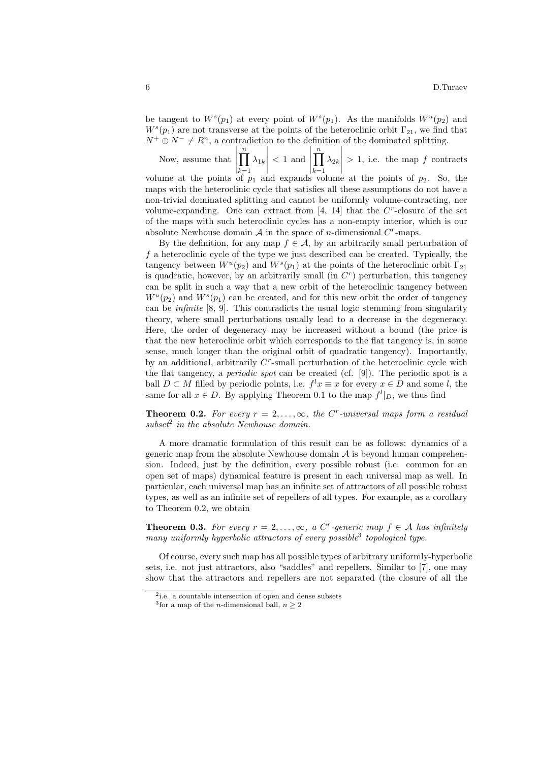be tangent to  $W^s(p_1)$  at every point of  $W^s(p_1)$ . As the manifolds  $W^u(p_2)$  and  $W^{s}(p_1)$  are not transverse at the points of the heteroclinic orbit  $\Gamma_{21}$ , we find that  $N^+ \oplus N^- \neq R^n$ , a contradiction to the definition of the dominated splitting.

Now, assume that  $\prod^n$  $k=1$  $\lambda_{1k}$   $< 1$  and  $\prod^n$  $k=1$  $\lambda_{2k}$   $> 1$ , i.e. the map f contracts volume at the points of  $p_1$  and expands volume at the points of  $p_2$ . So, the maps with the heteroclinic cycle that satisfies all these assumptions do not have a non-trivial dominated splitting and cannot be uniformly volume-contracting, nor volume-expanding. One can extract from  $[4, 14]$  that the  $C<sup>r</sup>$ -closure of the set of the maps with such heteroclinic cycles has a non-empty interior, which is our absolute Newhouse domain  $A$  in the space of *n*-dimensional  $C<sup>r</sup>$ -maps.

By the definition, for any map  $f \in \mathcal{A}$ , by an arbitrarily small perturbation of f a heteroclinic cycle of the type we just described can be created. Typically, the tangency between  $W^u(p_2)$  and  $W^s(p_1)$  at the points of the heteroclinic orbit  $\Gamma_{21}$ is quadratic, however, by an arbitrarily small (in  $C<sup>r</sup>$ ) perturbation, this tangency can be split in such a way that a new orbit of the heteroclinic tangency between  $W^u(p_2)$  and  $W^s(p_1)$  can be created, and for this new orbit the order of tangency can be infinite [8, 9]. This contradicts the usual logic stemming from singularity theory, where small perturbations usually lead to a decrease in the degeneracy. Here, the order of degeneracy may be increased without a bound (the price is that the new heteroclinic orbit which corresponds to the flat tangency is, in some sense, much longer than the original orbit of quadratic tangency). Importantly, by an additional, arbitrarily  $C<sup>r</sup>$ -small perturbation of the heteroclinic cycle with the flat tangency, a *periodic spot* can be created (cf. [9]). The periodic spot is a ball  $D \subset M$  filled by periodic points, i.e.  $f^l x \equiv x$  for every  $x \in D$  and some l, the same for all  $x \in D$ . By applying Theorem 0.1 to the map  $f^{l}|_{D}$ , we thus find

**Theorem 0.2.** For every  $r = 2, ..., \infty$ , the C<sup>r</sup>-universal maps form a residual  $subset<sup>2</sup>$  in the absolute Newhouse domain.

A more dramatic formulation of this result can be as follows: dynamics of a generic map from the absolute Newhouse domain  $A$  is beyond human comprehension. Indeed, just by the definition, every possible robust (i.e. common for an open set of maps) dynamical feature is present in each universal map as well. In particular, each universal map has an infinite set of attractors of all possible robust types, as well as an infinite set of repellers of all types. For example, as a corollary to Theorem 0.2, we obtain

**Theorem 0.3.** For every  $r = 2, ..., \infty$ , a C<sup>r</sup>-generic map  $f \in A$  has infinitely many uniformly hyperbolic attractors of every possible<sup>3</sup> topological type.

Of course, every such map has all possible types of arbitrary uniformly-hyperbolic sets, i.e. not just attractors, also "saddles" and repellers. Similar to [7], one may show that the attractors and repellers are not separated (the closure of all the

<sup>2</sup> i.e. a countable intersection of open and dense subsets

<sup>&</sup>lt;sup>3</sup> for a map of the *n*-dimensional ball,  $n \geq 2$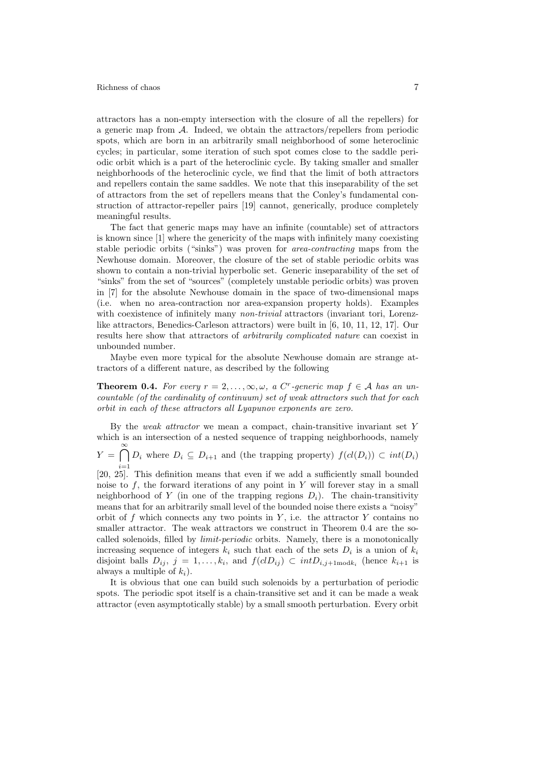attractors has a non-empty intersection with the closure of all the repellers) for a generic map from A. Indeed, we obtain the attractors/repellers from periodic spots, which are born in an arbitrarily small neighborhood of some heteroclinic cycles; in particular, some iteration of such spot comes close to the saddle periodic orbit which is a part of the heteroclinic cycle. By taking smaller and smaller neighborhoods of the heteroclinic cycle, we find that the limit of both attractors and repellers contain the same saddles. We note that this inseparability of the set of attractors from the set of repellers means that the Conley's fundamental construction of attractor-repeller pairs [19] cannot, generically, produce completely meaningful results.

The fact that generic maps may have an infinite (countable) set of attractors is known since [1] where the genericity of the maps with infinitely many coexisting stable periodic orbits ("sinks") was proven for area-contracting maps from the Newhouse domain. Moreover, the closure of the set of stable periodic orbits was shown to contain a non-trivial hyperbolic set. Generic inseparability of the set of "sinks" from the set of "sources" (completely unstable periodic orbits) was proven in [7] for the absolute Newhouse domain in the space of two-dimensional maps (i.e. when no area-contraction nor area-expansion property holds). Examples with coexistence of infinitely many *non-trivial* attractors (invariant tori, Lorenzlike attractors, Benedics-Carleson attractors) were built in [6, 10, 11, 12, 17]. Our results here show that attractors of arbitrarily complicated nature can coexist in unbounded number.

Maybe even more typical for the absolute Newhouse domain are strange attractors of a different nature, as described by the following

**Theorem 0.4.** For every  $r = 2, ..., \infty, \omega$ , a C<sup>r</sup>-generic map  $f \in A$  has an uncountable (of the cardinality of continuum) set of weak attractors such that for each orbit in each of these attractors all Lyapunov exponents are zero.

By the weak attractor we mean a compact, chain-transitive invariant set Y which is an intersection of a nested sequence of trapping neighborhoods, namely  $Y = \bigcap_{i=1}^{\infty} D_i$  where  $D_i \subseteq D_{i+1}$  and (the trapping property)  $f(cl(D_i)) \subset int(D_i)$ [20, 25]. This definition means that even if we add a sufficiently small bounded noise to  $f$ , the forward iterations of any point in Y will forever stay in a small neighborhood of Y (in one of the trapping regions  $D_i$ ). The chain-transitivity means that for an arbitrarily small level of the bounded noise there exists a "noisy" orbit of f which connects any two points in  $Y$ , i.e. the attractor Y contains no smaller attractor. The weak attractors we construct in Theorem 0.4 are the socalled solenoids, filled by limit-periodic orbits. Namely, there is a monotonically increasing sequence of integers  $k_i$  such that each of the sets  $D_i$  is a union of  $k_i$ disjoint balls  $D_{ij}$ ,  $j = 1, ..., k_i$ , and  $f(clD_{ij}) \subset intD_{i,j+1 \text{ mod } k_i}$  (hence  $k_{i+1}$  is always a multiple of  $k_i$ ).

It is obvious that one can build such solenoids by a perturbation of periodic spots. The periodic spot itself is a chain-transitive set and it can be made a weak attractor (even asymptotically stable) by a small smooth perturbation. Every orbit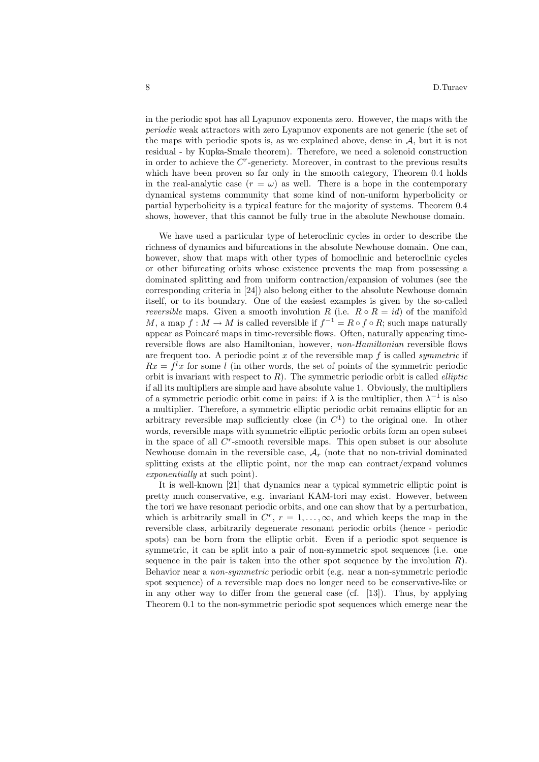in the periodic spot has all Lyapunov exponents zero. However, the maps with the periodic weak attractors with zero Lyapunov exponents are not generic (the set of the maps with periodic spots is, as we explained above, dense in  $A$ , but it is not residual - by Kupka-Smale theorem). Therefore, we need a solenoid construction in order to achieve the C r -genericty. Moreover, in contrast to the previous results which have been proven so far only in the smooth category, Theorem 0.4 holds in the real-analytic case  $(r = \omega)$  as well. There is a hope in the contemporary dynamical systems community that some kind of non-uniform hyperbolicity or partial hyperbolicity is a typical feature for the majority of systems. Theorem 0.4 shows, however, that this cannot be fully true in the absolute Newhouse domain.

We have used a particular type of heteroclinic cycles in order to describe the richness of dynamics and bifurcations in the absolute Newhouse domain. One can, however, show that maps with other types of homoclinic and heteroclinic cycles or other bifurcating orbits whose existence prevents the map from possessing a dominated splitting and from uniform contraction/expansion of volumes (see the corresponding criteria in [24]) also belong either to the absolute Newhouse domain itself, or to its boundary. One of the easiest examples is given by the so-called *reversible* maps. Given a smooth involution R (i.e.  $R \circ R = id$ ) of the manifold M, a map  $f: M \to M$  is called reversible if  $f^{-1} = R \circ f \circ R$ ; such maps naturally appear as Poincaré maps in time-reversible flows. Often, naturally appearing timereversible flows are also Hamiltonian, however, non-Hamiltonian reversible flows are frequent too. A periodic point x of the reversible map f is called *symmetric* if  $Rx = f<sup>l</sup>x$  for some l (in other words, the set of points of the symmetric periodic orbit is invariant with respect to  $R$ ). The symmetric periodic orbit is called *elliptic* if all its multipliers are simple and have absolute value 1. Obviously, the multipliers of a symmetric periodic orbit come in pairs: if  $\lambda$  is the multiplier, then  $\lambda^{-1}$  is also a multiplier. Therefore, a symmetric elliptic periodic orbit remains elliptic for an arbitrary reversible map sufficiently close (in  $C<sup>1</sup>$ ) to the original one. In other words, reversible maps with symmetric elliptic periodic orbits form an open subset in the space of all  $C<sup>r</sup>$ -smooth reversible maps. This open subset is our absolute Newhouse domain in the reversible case,  $A_r$  (note that no non-trivial dominated splitting exists at the elliptic point, nor the map can contract/expand volumes exponentially at such point).

It is well-known [21] that dynamics near a typical symmetric elliptic point is pretty much conservative, e.g. invariant KAM-tori may exist. However, between the tori we have resonant periodic orbits, and one can show that by a perturbation, which is arbitrarily small in  $C^r$ ,  $r = 1, \ldots, \infty$ , and which keeps the map in the reversible class, arbitrarily degenerate resonant periodic orbits (hence - periodic spots) can be born from the elliptic orbit. Even if a periodic spot sequence is symmetric, it can be split into a pair of non-symmetric spot sequences (i.e. one sequence in the pair is taken into the other spot sequence by the involution  $R$ ). Behavior near a non-symmetric periodic orbit (e.g. near a non-symmetric periodic spot sequence) of a reversible map does no longer need to be conservative-like or in any other way to differ from the general case (cf. [13]). Thus, by applying Theorem 0.1 to the non-symmetric periodic spot sequences which emerge near the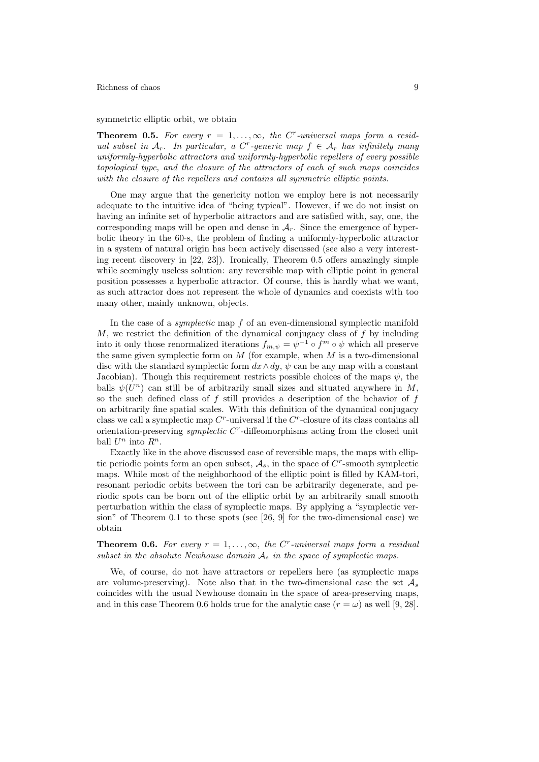## Richness of chaos 9

symmetrtic elliptic orbit, we obtain

**Theorem 0.5.** For every  $r = 1, ..., \infty$ , the C<sup>r</sup>-universal maps form a residual subset in  $A_r$ . In particular, a C<sup>r</sup>-generic map  $f \in A_r$  has infinitely many uniformly-hyperbolic attractors and uniformly-hyperbolic repellers of every possible topological type, and the closure of the attractors of each of such maps coincides with the closure of the repellers and contains all symmetric elliptic points.

One may argue that the genericity notion we employ here is not necessarily adequate to the intuitive idea of "being typical". However, if we do not insist on having an infinite set of hyperbolic attractors and are satisfied with, say, one, the corresponding maps will be open and dense in  $A<sub>r</sub>$ . Since the emergence of hyperbolic theory in the 60-s, the problem of finding a uniformly-hyperbolic attractor in a system of natural origin has been actively discussed (see also a very interesting recent discovery in [22, 23]). Ironically, Theorem 0.5 offers amazingly simple while seemingly useless solution: any reversible map with elliptic point in general position possesses a hyperbolic attractor. Of course, this is hardly what we want, as such attractor does not represent the whole of dynamics and coexists with too many other, mainly unknown, objects.

In the case of a *symplectic* map  $f$  of an even-dimensional symplectic manifold M, we restrict the definition of the dynamical conjugacy class of  $f$  by including into it only those renormalized iterations  $f_{m,\psi} = \psi^{-1} \circ f^m \circ \psi$  which all preserve the same given symplectic form on  $M$  (for example, when  $M$  is a two-dimensional disc with the standard symplectic form  $dx \wedge dy$ ,  $\psi$  can be any map with a constant Jacobian). Though this requirement restricts possible choices of the maps  $\psi$ , the balls  $\psi(U^n)$  can still be of arbitrarily small sizes and situated anywhere in M, so the such defined class of  $f$  still provides a description of the behavior of  $f$ on arbitrarily fine spatial scales. With this definition of the dynamical conjugacy class we call a symplectic map  $C<sup>r</sup>$ -universal if the  $C<sup>r</sup>$ -closure of its class contains all orientation-preserving *symplectic*  $C<sup>r</sup>$ -diffeomorphisms acting from the closed unit ball  $U^n$  into  $R^n$ .

Exactly like in the above discussed case of reversible maps, the maps with elliptic periodic points form an open subset,  $A_s$ , in the space of  $C^r$ -smooth symplectic maps. While most of the neighborhood of the elliptic point is filled by KAM-tori, resonant periodic orbits between the tori can be arbitrarily degenerate, and periodic spots can be born out of the elliptic orbit by an arbitrarily small smooth perturbation within the class of symplectic maps. By applying a "symplectic version" of Theorem 0.1 to these spots (see  $[26, 9]$  for the two-dimensional case) we obtain

**Theorem 0.6.** For every  $r = 1, ..., \infty$ , the C<sup>r</sup>-universal maps form a residual subset in the absolute Newhouse domain  $A_s$  in the space of symplectic maps.

We, of course, do not have attractors or repellers here (as symplectic maps are volume-preserving). Note also that in the two-dimensional case the set  $\mathcal{A}_s$ coincides with the usual Newhouse domain in the space of area-preserving maps, and in this case Theorem 0.6 holds true for the analytic case  $(r = \omega)$  as well [9, 28].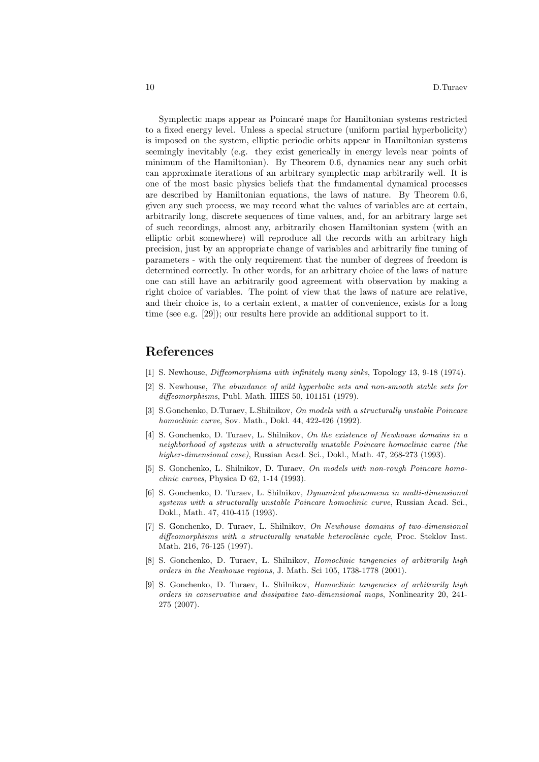Symplectic maps appear as Poincaré maps for Hamiltonian systems restricted to a fixed energy level. Unless a special structure (uniform partial hyperbolicity) is imposed on the system, elliptic periodic orbits appear in Hamiltonian systems seemingly inevitably (e.g. they exist generically in energy levels near points of minimum of the Hamiltonian). By Theorem 0.6, dynamics near any such orbit can approximate iterations of an arbitrary symplectic map arbitrarily well. It is one of the most basic physics beliefs that the fundamental dynamical processes are described by Hamiltonian equations, the laws of nature. By Theorem 0.6, given any such process, we may record what the values of variables are at certain, arbitrarily long, discrete sequences of time values, and, for an arbitrary large set of such recordings, almost any, arbitrarily chosen Hamiltonian system (with an elliptic orbit somewhere) will reproduce all the records with an arbitrary high precision, just by an appropriate change of variables and arbitrarily fine tuning of parameters - with the only requirement that the number of degrees of freedom is determined correctly. In other words, for an arbitrary choice of the laws of nature one can still have an arbitrarily good agreement with observation by making a right choice of variables. The point of view that the laws of nature are relative, and their choice is, to a certain extent, a matter of convenience, exists for a long time (see e.g. [29]); our results here provide an additional support to it.

## References

- [1] S. Newhouse, Diffeomorphisms with infinitely many sinks, Topology 13, 9-18 (1974).
- [2] S. Newhouse, The abundance of wild hyperbolic sets and non-smooth stable sets for diffeomorphisms, Publ. Math. IHES 50, 101151 (1979).
- [3] S.Gonchenko, D.Turaev, L.Shilnikov, On models with a structurally unstable Poincare homoclinic curve, Sov. Math., Dokl. 44, 422-426 (1992).
- [4] S. Gonchenko, D. Turaev, L. Shilnikov, On the existence of Newhouse domains in a neighborhood of systems with a structurally unstable Poincare homoclinic curve (the higher-dimensional case), Russian Acad. Sci., Dokl., Math. 47, 268-273 (1993).
- [5] S. Gonchenko, L. Shilnikov, D. Turaev, On models with non-rough Poincare homoclinic curves, Physica D 62, 1-14 (1993).
- [6] S. Gonchenko, D. Turaev, L. Shilnikov, Dynamical phenomena in multi-dimensional systems with a structurally unstable Poincare homoclinic curve, Russian Acad. Sci., Dokl., Math. 47, 410-415 (1993).
- [7] S. Gonchenko, D. Turaev, L. Shilnikov, On Newhouse domains of two-dimensional diffeomorphisms with a structurally unstable heteroclinic cycle, Proc. Steklov Inst. Math. 216, 76-125 (1997).
- [8] S. Gonchenko, D. Turaev, L. Shilnikov, *Homoclinic tangencies of arbitrarily high* orders in the Newhouse regions, J. Math. Sci 105, 1738-1778 (2001).
- [9] S. Gonchenko, D. Turaev, L. Shilnikov, Homoclinic tangencies of arbitrarily high orders in conservative and dissipative two-dimensional maps, Nonlinearity 20, 241- 275 (2007).